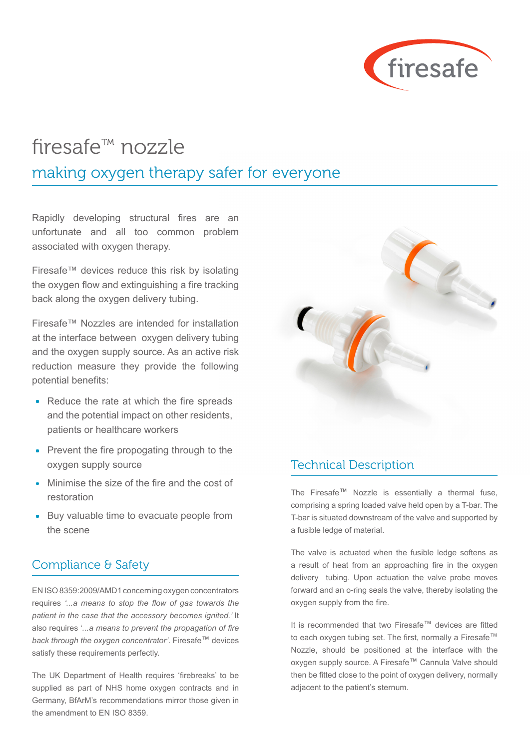

## firesafe™ nozzle making oxygen therapy safer for everyone

Rapidly developing structural fires are an unfortunate and all too common problem associated with oxygen therapy.

Firesafe™ devices reduce this risk by isolating the oxygen flow and extinguishing a fire tracking back along the oxygen delivery tubing.

Firesafe™ Nozzles are intended for installation at the interface between oxygen delivery tubing and the oxygen supply source. As an active risk reduction measure they provide the following potential benefits:

- Reduce the rate at which the fire spreads and the potential impact on other residents, patients or healthcare workers
- **Prevent the fire propogating through to the** oxygen supply source
- Minimise the size of the fire and the cost of restoration
- Buy valuable time to evacuate people from the scene

## Compliance & Safety

EN ISO 8359:2009/AMD1 concerning oxygen concentrators requires *'...a means to stop the flow of gas towards the patient in the case that the accessory becomes ignited.'* It also requires '*...a means to prevent the propagation of fire back through the oxygen concentrator'*. Firesafe™ devices satisfy these requirements perfectly.

The UK Department of Health requires 'firebreaks' to be supplied as part of NHS home oxygen contracts and in Germany, BfArM's recommendations mirror those given in the amendment to EN ISO 8359.



## Technical Description

The Firesafe™ Nozzle is essentially a thermal fuse, comprising a spring loaded valve held open by a T-bar. The T-bar is situated downstream of the valve and supported by a fusible ledge of material.

The valve is actuated when the fusible ledge softens as a result of heat from an approaching fire in the oxygen delivery tubing. Upon actuation the valve probe moves forward and an o-ring seals the valve, thereby isolating the oxygen supply from the fire.

It is recommended that two Firesafe™ devices are fitted to each oxygen tubing set. The first, normally a Firesafe™ Nozzle, should be positioned at the interface with the oxygen supply source. A Firesafe™ Cannula Valve should then be fitted close to the point of oxygen delivery, normally adjacent to the patient's sternum.